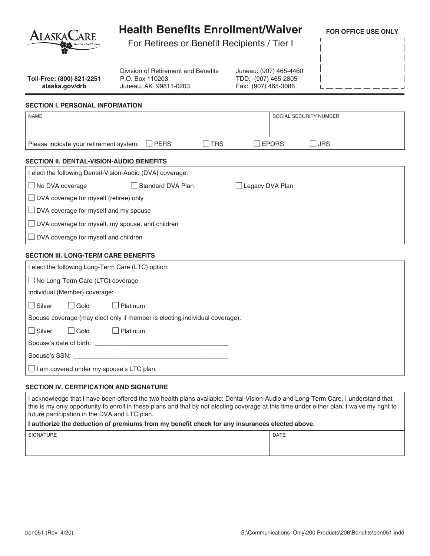| ALASKACARE                                                                                                           | <b>Health Benefits Enrollment/Waiver</b><br>For Retirees or Benefit Recipients / Tier I |                                                                                                                                      |  |                 | <b>FOR OFFICE USE ONLY</b> |
|----------------------------------------------------------------------------------------------------------------------|-----------------------------------------------------------------------------------------|--------------------------------------------------------------------------------------------------------------------------------------|--|-----------------|----------------------------|
| Toll-Free: (800) 821-2251<br>alaska.gov/drb                                                                          | P.O. Box 110203                                                                         | Division of Retirement and Benefits<br>Juneau: (907) 465-4460<br>TDD: (907) 465-2805<br>Juneau, AK 99811-0203<br>Fax: (907) 465-3086 |  |                 |                            |
| <b>SECTION I. PERSONAL INFORMATION</b>                                                                               |                                                                                         |                                                                                                                                      |  |                 |                            |
| <b>NAME</b>                                                                                                          |                                                                                         |                                                                                                                                      |  |                 | SOCIAL SECURITY NUMBER     |
| Please indicate your retirement system:                                                                              | $\Box$ PERS                                                                             | $\square$ TRS                                                                                                                        |  | $\square$ EPORS | $\square$ JRS              |
| <b>SECTION II. DENTAL-VISION-AUDIO BENEFITS</b>                                                                      |                                                                                         |                                                                                                                                      |  |                 |                            |
| I elect the following Dental-Vision-Audio (DVA) coverage:                                                            |                                                                                         |                                                                                                                                      |  |                 |                            |
| Standard DVA Plan<br>$\Box$ No DVA coverage<br>$\Box$ Legacy DVA Plan                                                |                                                                                         |                                                                                                                                      |  |                 |                            |
| $\Box$ DVA coverage for myself (retiree) only                                                                        |                                                                                         |                                                                                                                                      |  |                 |                            |
| $\Box$ DVA coverage for myself and my spouse                                                                         |                                                                                         |                                                                                                                                      |  |                 |                            |
| □ DVA coverage for myself, my spouse, and children                                                                   |                                                                                         |                                                                                                                                      |  |                 |                            |
| DVA coverage for myself and children                                                                                 |                                                                                         |                                                                                                                                      |  |                 |                            |
|                                                                                                                      |                                                                                         |                                                                                                                                      |  |                 |                            |
| <b>SECTION III. LONG-TERM CARE BENEFITS</b><br>I elect the following Long-Term Care (LTC) option:                    |                                                                                         |                                                                                                                                      |  |                 |                            |
|                                                                                                                      |                                                                                         |                                                                                                                                      |  |                 |                            |
| □ No Long-Term Care (LTC) coverage<br>Individual (Member) coverage:                                                  |                                                                                         |                                                                                                                                      |  |                 |                            |
|                                                                                                                      |                                                                                         |                                                                                                                                      |  |                 |                            |
| │ Silver<br>l Gold<br>$\Box$ Platinum<br>Spouse coverage (may elect only if member is electing individual coverage): |                                                                                         |                                                                                                                                      |  |                 |                            |
|                                                                                                                      |                                                                                         |                                                                                                                                      |  |                 |                            |
| $\Box$ Gold<br>  Silver                                                                                              | $\Box$ Platinum                                                                         |                                                                                                                                      |  |                 |                            |
|                                                                                                                      |                                                                                         |                                                                                                                                      |  |                 |                            |
|                                                                                                                      |                                                                                         |                                                                                                                                      |  |                 |                            |
| $\Box$ I am covered under my spouse's LTC plan.                                                                      |                                                                                         |                                                                                                                                      |  |                 |                            |

## **SECTION IV. CERTIFICATION AND SIGNATURE**

I acknowledge that I have been offered the two health plans available: Dental-Vision-Audio and Long-Term Care. I understand that this is my only opportunity to enroll in these plans and that by not electing coverage at this time under either plan, I waive my right to future participation in the DVA and LTC plan.

## **I authorize the deduction of premiums from my benefit check for any insurances elected above.**

| <b>SIGNATURE</b> | <b>DATE</b> |  |
|------------------|-------------|--|
|                  |             |  |